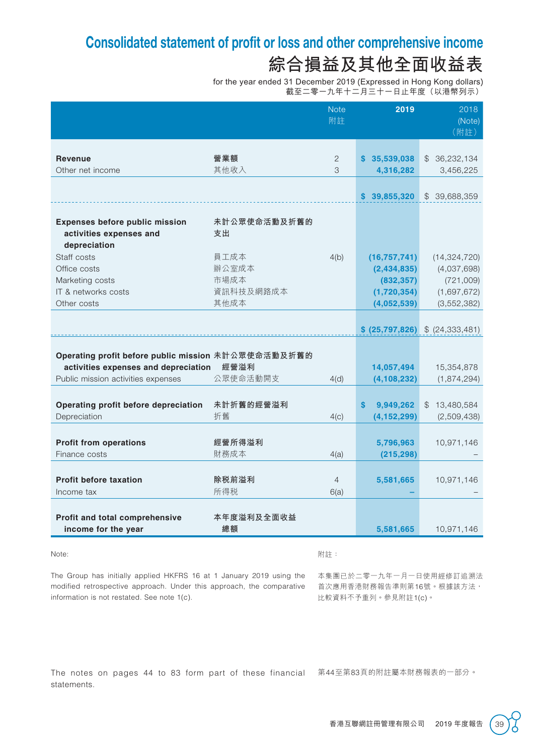## Consolidated statement of profit or loss and other comprehensive income **綜合損益及其他全面收益表**

for the year ended 31 December 2019 (Expressed in Hong Kong dollars) 截至二零一九年十二月三十一日止年度(以港幣列示)

|                                                                                                                                   |                                            | <b>Note</b><br>附註      | 2019                                                                      | 2018<br>(Note)<br>(附註)                                                     |
|-----------------------------------------------------------------------------------------------------------------------------------|--------------------------------------------|------------------------|---------------------------------------------------------------------------|----------------------------------------------------------------------------|
| <b>Revenue</b><br>Other net income                                                                                                | 營業額<br>其他收入                                | $\overline{2}$<br>3    | \$35,539,038<br>4,316,282                                                 | \$36,232,134<br>3,456,225                                                  |
|                                                                                                                                   |                                            |                        | \$39,855,320                                                              | \$ 39,688,359                                                              |
| Expenses before public mission<br>activities expenses and<br>depreciation                                                         | 未計公眾使命活動及折舊的<br>支出                         |                        |                                                                           |                                                                            |
| Staff costs<br>Office costs<br>Marketing costs<br>IT & networks costs<br>Other costs                                              | 員工成本<br>辦公室成本<br>市場成本<br>資訊科技及網路成本<br>其他成本 | 4(b)                   | (16, 757, 741)<br>(2,434,835)<br>(832, 357)<br>(1,720,354)<br>(4,052,539) | (14, 324, 720)<br>(4,037,698)<br>(721,009)<br>(1,697,672)<br>(3, 552, 382) |
|                                                                                                                                   |                                            |                        | \$ (25,797,826)                                                           | \$ (24, 333, 481)                                                          |
| Operating profit before public mission 未計公眾使命活動及折舊的<br>activities expenses and depreciation<br>Public mission activities expenses | 經營溢利<br>公眾使命活動開支                           | 4(d)                   | 14,057,494<br>(4, 108, 232)                                               | 15,354,878<br>(1,874,294)                                                  |
| Operating profit before depreciation<br>Depreciation                                                                              | 未計折舊的經營溢利<br>折舊                            | 4(c)                   | \$<br>9,949,262<br>(4, 152, 299)                                          | \$13,480,584<br>(2,509,438)                                                |
| <b>Profit from operations</b><br>Finance costs                                                                                    | 經營所得溢利<br>財務成本                             | 4(a)                   | 5,796,963<br>(215, 298)                                                   | 10,971,146                                                                 |
| <b>Profit before taxation</b><br>Income tax                                                                                       | 除税前溢利<br>所得税                               | $\overline{4}$<br>6(a) | 5,581,665                                                                 | 10,971,146                                                                 |
| Profit and total comprehensive<br>income for the year                                                                             | 本年度溢利及全面收益<br>總額                           |                        | 5,581,665                                                                 | 10,971,146                                                                 |

#### Note:

附註:

The Group has initially applied HKFRS 16 at 1 January 2019 using the modified retrospective approach. Under this approach, the comparative information is not restated. See note 1(c).

本集團已於二零一九年一月一日使用經修訂追溯法 首次應用香港財務報告準則第16號。根據該方法, 比較資料不予重列。參見附註1(c)。

The notes on pages 44 to 83 form part of these financial 第44至第83頁的附註屬本財務報表的一部分。 statements.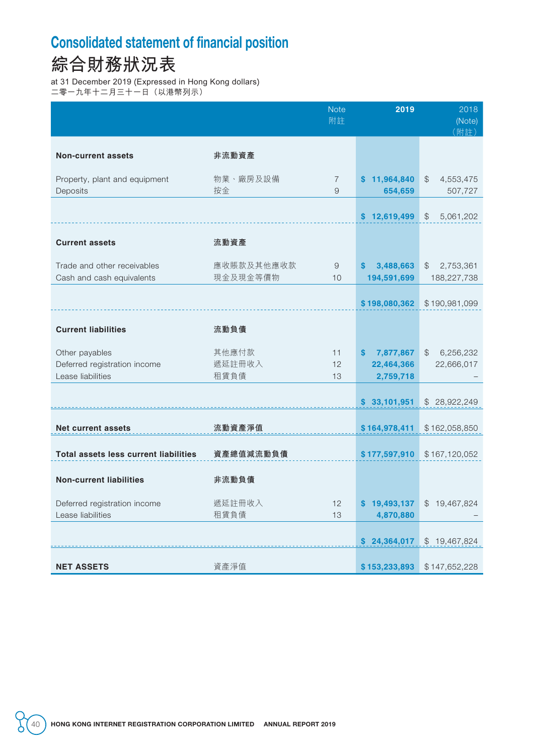### Consolidated statement of financial position

## **綜合財務狀況表**

at 31 December 2019 (Expressed in Hong Kong dollars)

二零一九年十二月三十一日(以港幣列示)

|                                                |                 | <b>Note</b><br>附註 | 2019                       | 2018<br>(Note)<br>(附註)     |
|------------------------------------------------|-----------------|-------------------|----------------------------|----------------------------|
|                                                |                 |                   |                            |                            |
| <b>Non-current assets</b>                      | 非流動資產           |                   |                            |                            |
| Property, plant and equipment                  | 物業、廠房及設備        | $\overline{7}$    | \$11,964,840               | $\mathcal{L}$<br>4,553,475 |
| Deposits                                       | 按金              | $\Theta$          | 654,659                    | 507,727                    |
|                                                |                 |                   | \$12,619,499               | \$<br>5,061,202            |
|                                                |                 |                   |                            |                            |
| <b>Current assets</b>                          | 流動資產            |                   |                            |                            |
| Trade and other receivables                    | 應收賬款及其他應收款      | $\hbox{9}$        | \$<br>3,488,663            | 2,753,361<br>$\mathcal{L}$ |
| Cash and cash equivalents                      | 現金及現金等價物        | 10                | 194,591,699                | 188,227,738                |
|                                                |                 |                   |                            |                            |
|                                                |                 |                   | \$198,080,362              | \$190,981,099              |
| <b>Current liabilities</b>                     | 流動負債            |                   |                            |                            |
|                                                |                 |                   |                            |                            |
| Other payables<br>Deferred registration income | 其他應付款<br>遞延註冊收入 | 11<br>12          | 7,877,867<br>$\mathbf{\$}$ | 6,256,232<br>$\mathcal{L}$ |
| Lease liabilities                              | 租賃負債            | 13                | 22,464,366<br>2,759,718    | 22,666,017                 |
|                                                |                 |                   |                            |                            |
|                                                |                 |                   | \$33,101,951               | \$28,922,249               |
| <b>Net current assets</b>                      | 流動資產淨值          |                   | \$164,978,411              | \$162,058,850              |
|                                                |                 |                   |                            |                            |
| <b>Total assets less current liabilities</b>   | 資產總值減流動負債       |                   | \$177,597,910              | \$167,120,052              |
|                                                |                 |                   |                            |                            |
| <b>Non-current liabilities</b>                 | 非流動負債           |                   |                            |                            |
| Deferred registration income                   | 遞延註冊收入          | 12                | \$19,493,137               | \$19,467,824               |
| Lease liabilities                              | 租賃負債            | 13                | 4,870,880                  |                            |
|                                                |                 |                   |                            |                            |
|                                                |                 |                   | \$24,364,017               | \$19,467,824               |
| <b>NET ASSETS</b>                              | 資產淨值            |                   | \$153,233,893              | \$147,652,228              |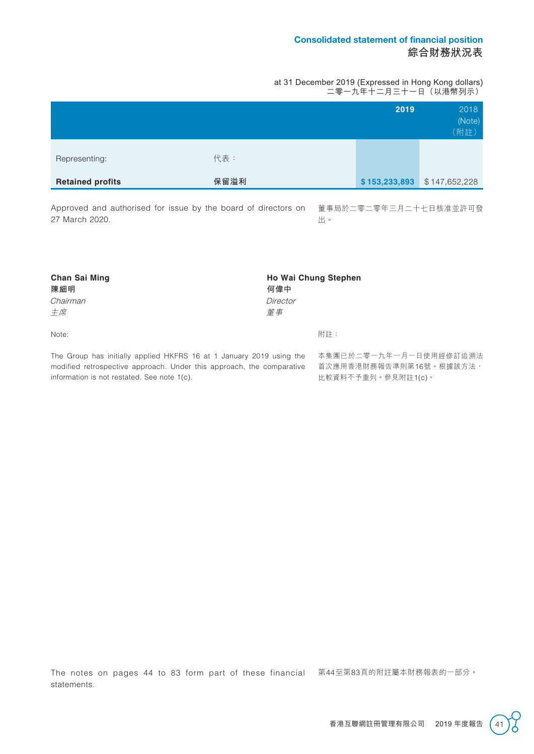#### Consolidated statement of financial position **綜合財務狀況表**

at 31 December 2019 (Expressed in Hong Kong dollars) 二零一九年十二月三十一日(以港幣列示)

|                         |      | 2019          | 2018<br>(Note)<br>(附註) |
|-------------------------|------|---------------|------------------------|
| Representing:           | 代表:  |               |                        |
| <b>Retained profits</b> | 保留溢利 | \$153,233,893 | \$147,652,228          |

Approved and authorised for issue by the board of directors on 董事局於二零二零年三月二十七日核准並許可發 27 March 2020.

出。

| <b>Chan Sai Ming</b>                                                 |          | <b>Ho Wai Chung Stephen</b> |  |  |  |
|----------------------------------------------------------------------|----------|-----------------------------|--|--|--|
| 陳細明                                                                  | 何偉中      |                             |  |  |  |
| Chairman                                                             | Director |                             |  |  |  |
| 主席                                                                   | 董事       |                             |  |  |  |
| Note:                                                                |          | 附註:                         |  |  |  |
| The Group has initially applied HKFRS 16 at 1 January 2019 using the |          | 本集團已於二零一九年一月一日使用經修訂追溯法      |  |  |  |

modified retrospective approach. Under this approach, the comparative information is not restated. See note 1(c).

首次應用香港財務報告準則第16號。根據該方法, 比較資料不予重列。參見附註1(c)。

The notes on pages 44 to 83 form part of these financial 第44至第83頁的附註屬本財務報表的一部分。 statements.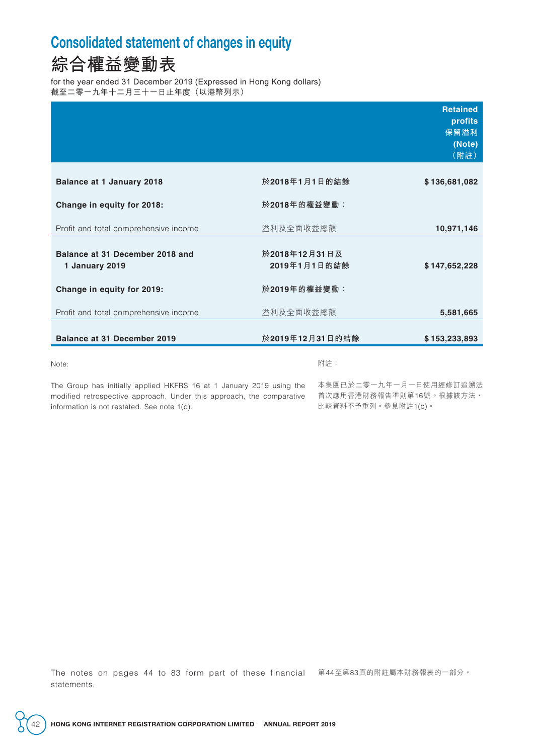#### Consolidated statement of changes in equity

### **綜合權益變動表**

for the year ended 31 December 2019 (Expressed in Hong Kong dollars) 截至二零一九年十二月三十一日止年度(以港幣列示)

|                                                   |                               | <b>Retained</b><br>profits<br>保留溢利<br>(Note)<br>(附註) |
|---------------------------------------------------|-------------------------------|------------------------------------------------------|
| <b>Balance at 1 January 2018</b>                  | 於2018年1月1日的結餘                 | \$136,681,082                                        |
| Change in equity for 2018:                        | 於2018年的權益變動:                  |                                                      |
| Profit and total comprehensive income             | 溢利及全面收益總額                     | 10,971,146                                           |
| Balance at 31 December 2018 and<br>1 January 2019 | 於2018年12月31日及<br>2019年1月1日的結餘 | \$147,652,228                                        |
| Change in equity for 2019:                        | 於2019年的權益變動:                  |                                                      |
| Profit and total comprehensive income             | 溢利及全面收益總額                     | 5,581,665                                            |
| <b>Balance at 31 December 2019</b>                | 於2019年12月31日的結餘               | \$153,233,893                                        |
| Note:                                             | 附註:                           |                                                      |

The Group has initially applied HKFRS 16 at 1 January 2019 using the 本集團已於二零一九年一月一日使用經修訂追溯法 modified retrospective approach. Under this approach, the comparative 首次應用香港財務報告準則第16號。根據該方法, information is not restated. See note 1(c).

比較資料不予重列。參見附註1(c)。

The notes on pages 44 to 83 form part of these financial 第44至第83頁的附註屬本財務報表的一部分。 statements.